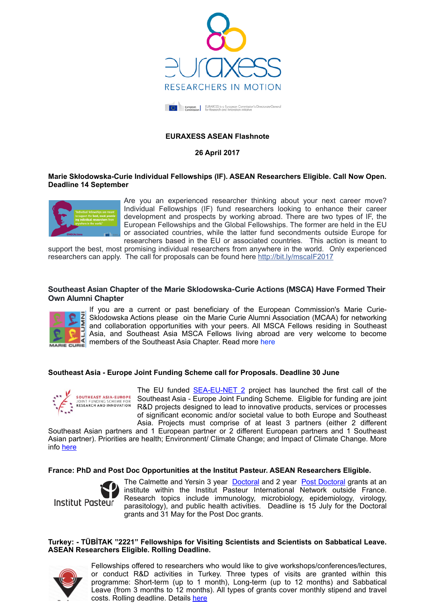



# **EURAXESS ASEAN Flashnote**

**26 April 2017**

## **Marie Skłodowska-Curie Individual Fellowships (IF). ASEAN Researchers Eligible. Call Now Open. Deadline 14 September**



Are you an experienced researcher thinking about your next career move? Individual Fellowships (IF) fund researchers looking to enhance their career development and prospects by working abroad. There are two types of IF, the European Fellowships and the Global Fellowships. The former are held in the EU or associated countries, while the latter fund secondments outside Europe for researchers based in the EU or associated countries. This action is meant to

support the best, most promising individual researchers from anywhere in the world. Only experienced researchers can apply. The call for proposals can be found here [http://bit.ly/mscaIF2017](http://bit.ly/mscaif2017)

## **Southeast Asian Chapter of the Marie Sklodowska-Curie Actions (MSCA) Have Formed Their Own Alumni Chapter**



If you are a current or past beneficiary of the European Commission's Marie Curie-Sklodowska Actions please oin the Marie Curie Alumni Association (MCAA) for networking and collaboration opportunities with your peers. All MSCA Fellows residing in Southeast Asia, and Southeast Asia MSCA Fellows living abroad are very welcome to become members of the Southeast Asia Chapter. Read more here

#### **Southeast Asia - Europe Joint Funding Scheme call for Proposals. Deadline 30 June**



The EU funded **SEA-EU-NET 2** project has launched the first call of the Southeast Asia - Europe Joint Funding Scheme. Eligible for funding are joint R&D projects designed to lead to innovative products, services or processes of significant economic and/or societal value to both Europe and Southeast Asia. Projects must comprise of at least 3 partners (either 2 different

Southeast Asian partners and 1 European partner or 2 different European partners and 1 Southeast Asian partner). Priorities are health; Environment/ Climate Change; and Impact of Climate Change. More info [here](https://euraxess.ec.europa.eu/worldwide/asean)

#### **France: PhD and Post Doc Opportunities at the Institut Pasteur. ASEAN Researchers Eligible.**



The Calmette and Yersin 3 year [Doctoral](https://www.pasteur.fr/en/education/fellowships-and-mobility-aids/doctoral-grants-calmette-and-yersin%20phd%20grants) and 2 year [Post Doctoral](http://www.pasteur.fr/en/education/fellowships-and-mobility-aids/post-doctoral-grants-calmette-and-yersin) grants at an institute within the Institut Pasteur International Network outside France. Research topics include immunology, microbiology, epidemiology, virology, parasitology), and public health activities. Deadline is 15 July for the Doctoral grants and 31 May for the Post Doc grants.

### **Turkey: - TÜBİTAK "2221" Fellowships for Visiting Scientists and Scientists on Sabbatical Leave. ASEAN Researchers Eligible. Rolling Deadline.**



Fellowships offered to researchers who would like to give workshops/conferences/lectures, or conduct R&D activities in Turkey. Three types of visits are granted within this programme: Short-term (up to 1 month), Long-term (up to 12 months) and Sabbatical Leave (from 3 months to 12 months). All types of grants cover monthly stipend and travel costs. Rolling deadline. Details [here](http://www.tubitak.gov.tr/en/scholarship/postdoctoral/international-programmes/content-2221-fellowships-for-visiting-scientists-and-scientists-on-sabbatical-leave)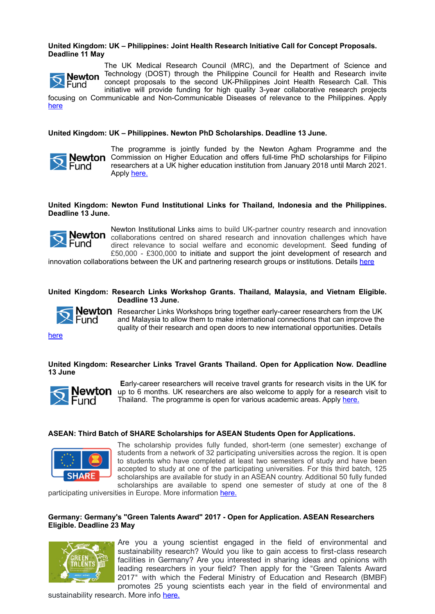# **United Kingdom: UK – Philippines: Joint Health Research Initiative Call for Concept Proposals. Deadline 11 May**

The UK Medical Research Council (MRC), and the Department of Science and **Newton** Technology (DOST) through the Philippine Council for Health and Research invite  $\mathbf{R}$  Fund concept proposals to the second UK-Philippines Joint Health Research Call. This initiative will provide funding for high quality 3-year collaborative research projects

focusing on Communicable and Non-Communicable Diseases of relevance to the Philippines. Apply [here](http://www.mrc.ac.uk/funding/browse/uk-philippines-jhri/uk-philippines-joint-health-research-initiative-call-for-concept-proposals/)

**United Kingdom: UK – Philippines. Newton PhD Scholarships. Deadline 13 June.** 



The programme is jointly funded by the Newton Agham Programme and the **Newton** Commission on Higher Education and offers full-time PhD scholarships for Filipino researchers at a UK higher education institution from January 2018 until March 2021. Apply [here.](http://www.britishcouncil.ph/programmes/newton-fund/phd-programme)

**United Kingdom: Newton Fund Institutional Links for Thailand, Indonesia and the Philippines. Deadline 13 June.** 



Newton Institutional Links aims to build UK-partner country research and innovation collaborations centred on shared research and innovation challenges which have direct relevance to social welfare and economic development. Seed funding of £50,000 - £300,000 to initiate and support the joint development of research and

innovation collaborations between the UK and partnering research groups or institutions. Details [here](https://www.britishcouncil.org/education/science/current-opportunities/newton-institutional-links-april-2017)

## **United Kingdom: Research Links Workshop Grants. Thailand, Malaysia, and Vietnam Eligible. Deadline 13 June.**



**Newton** Researcher Links Workshops bring together early-career researchers from the UK and Malaysia to allow them to make international connections that can improve the quality of their research and open doors to new international opportunities. Details

[here](https://www.britishcouncil.org/education/science/current-opportunities/workshop-grants-newton-april-2017)

**United Kingdom: Researcher Links Travel Grants Thailand. Open for Application Now. Deadline 13 June**



 **E**arly-career researchers will receive travel grants for research visits in the UK for **Newton** up to 6 months. UK researchers are also welcome to apply for a research visit to Thailand. The programme is open for various academic areas. Apply [here.](https://www.britishcouncil.or.th/en/programmes/education/our-work-support-higher-education-and-research-sector/NewtonFund/researcher-links-travel-grant)

## **ASEAN: Third Batch of SHARE Scholarships for ASEAN Students Open for Applications.**



The scholarship provides fully funded, short-term (one semester) exchange of students from a network of 32 participating universities across the region. It is open to students who have completed at least two semesters of study and have been accepted to study at one of the participating universities. For this third batch, 125 scholarships are available for study in an ASEAN country. Additional 50 fully funded scholarships are available to spend one semester of study at one of the 8

participating universities in Europe. More information [here.](https://euraxess.ec.europa.eu/worldwide/asean/third-batch-share-scholarships-asean-students-open-applications)

## **Germany: Germany's "Green Talents Award" 2017 - Open for Application. ASEAN Researchers Eligible. Deadline 23 May**



Are you a young scientist engaged in the field of environmental and sustainability research? Would you like to gain access to first-class research facilities in Germany? Are you interested in sharing ideas and opinions with leading researchers in your field? Then apply for the "Green Talents Award 2017" with which the Federal Ministry of Education and Research (BMBF) promotes 25 young scientists each year in the field of environmental and

sustainability research. More info [here.](https://euraxess.ec.europa.eu/worldwide/asean/germanys-green-talents-award-2017-open-application)